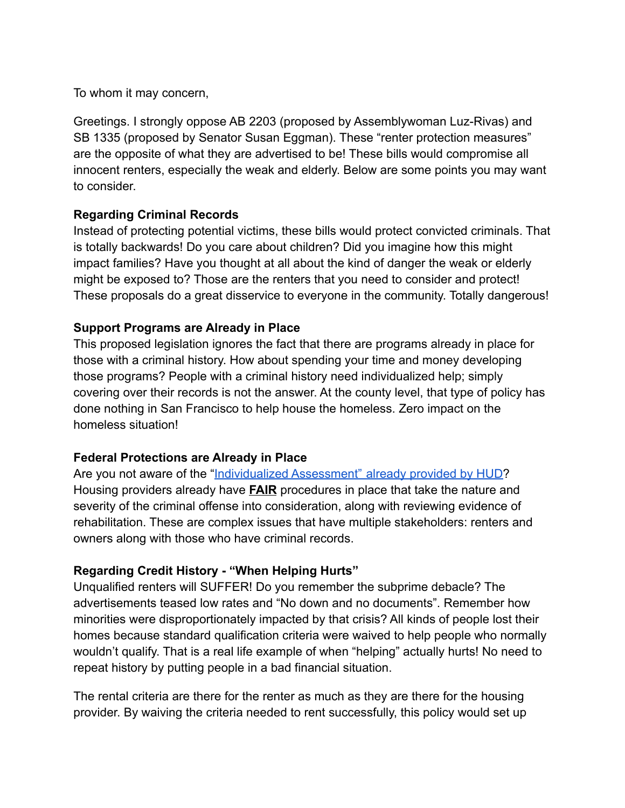To whom it may concern,

Greetings. I strongly oppose AB 2203 (proposed by Assemblywoman Luz-Rivas) and SB 1335 (proposed by Senator Susan Eggman). These "renter protection measures" are the opposite of what they are advertised to be! These bills would compromise all innocent renters, especially the weak and elderly. Below are some points you may want to consider.

### **Regarding Criminal Records**

Instead of protecting potential victims, these bills would protect convicted criminals. That is totally backwards! Do you care about children? Did you imagine how this might impact families? Have you thought at all about the kind of danger the weak or elderly might be exposed to? Those are the renters that you need to consider and protect! These proposals do a great disservice to everyone in the community. Totally dangerous!

### **Support Programs are Already in Place**

This proposed legislation ignores the fact that there are programs already in place for those with a criminal history. How about spending your time and money developing those programs? People with a criminal history need individualized help; simply covering over their records is not the answer. At the county level, that type of policy has done nothing in San Francisco to help house the homeless. Zero impact on the homeless situation!

# **Federal Protections are Already in Place**

Are you not aware of the "[Individualized Assessment"](https://www.hud.gov/sites/documents/HUD_OGCGUIDAPPFHASTANDCR.PDF) already provided by HUD? Housing providers already have **FAIR** procedures in place that take the nature and severity of the criminal offense into consideration, along with reviewing evidence of rehabilitation. These are complex issues that have multiple stakeholders: renters and owners along with those who have criminal records.

# **Regarding Credit History - "When Helping Hurts"**

Unqualified renters will SUFFER! Do you remember the subprime debacle? The advertisements teased low rates and "No down and no documents". Remember how minorities were disproportionately impacted by that crisis? All kinds of people lost their homes because standard qualification criteria were waived to help people who normally wouldn't qualify. That is a real life example of when "helping" actually hurts! No need to repeat history by putting people in a bad financial situation.

The rental criteria are there for the renter as much as they are there for the housing provider. By waiving the criteria needed to rent successfully, this policy would set up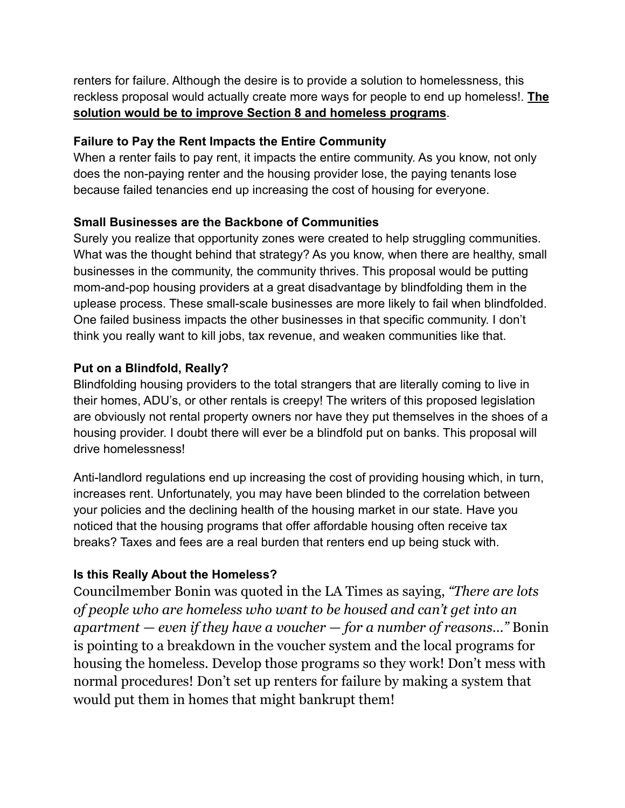renters for failure. Although the desire is to provide a solution to homelessness, this reckless proposal would actually create more ways for people to end up homeless!. **The solution would be to improve Section 8 and homeless programs**.

### **Failure to Pay the Rent Impacts the Entire Community**

When a renter fails to pay rent, it impacts the entire community. As you know, not only does the non-paying renter and the housing provider lose, the paying tenants lose because failed tenancies end up increasing the cost of housing for everyone.

# **Small Businesses are the Backbone of Communities**

Surely you realize that opportunity zones were created to help struggling communities. What was the thought behind that strategy? As you know, when there are healthy, small businesses in the community, the community thrives. This proposal would be putting mom-and-pop housing providers at a great disadvantage by blindfolding them in the uplease process. These small-scale businesses are more likely to fail when blindfolded. One failed business impacts the other businesses in that specific community. I don't think you really want to kill jobs, tax revenue, and weaken communities like that.

# **Put on a Blindfold, Really?**

Blindfolding housing providers to the total strangers that are literally coming to live in their homes, ADU's, or other rentals is creepy! The writers of this proposed legislation are obviously not rental property owners nor have they put themselves in the shoes of a housing provider. I doubt there will ever be a blindfold put on banks. This proposal will drive homelessness!

Anti-landlord regulations end up increasing the cost of providing housing which, in turn, increases rent. Unfortunately, you may have been blinded to the correlation between your policies and the declining health of the housing market in our state. Have you noticed that the housing programs that offer affordable housing often receive tax breaks? Taxes and fees are a real burden that renters end up being stuck with.

# **Is this Really About the Homeless?**

Councilmember Bonin was quoted in the LA Times as saying, *"There are lots of people who are homeless who want to be housed and can't get into an apartment — even if they have a voucher — for a number of reasons…"* Bonin is pointing to a breakdown in the voucher system and the local programs for housing the homeless. Develop those programs so they work! Don't mess with normal procedures! Don't set up renters for failure by making a system that would put them in homes that might bankrupt them!